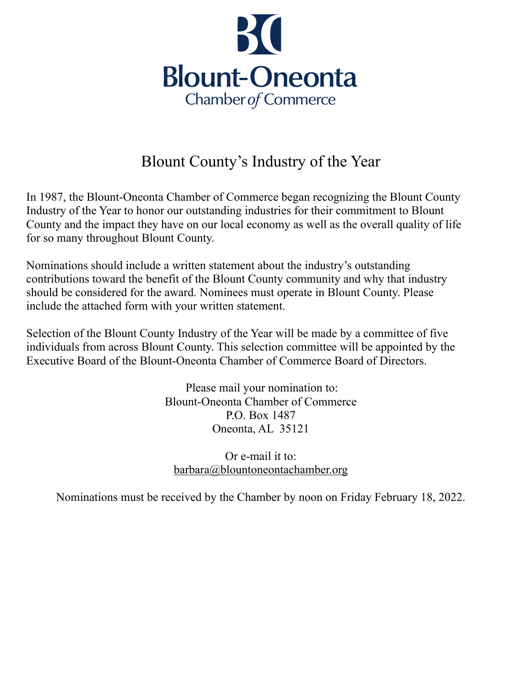

## Blount County's Industry of the Year

In 1987, the Blount-Oneonta Chamber of Commerce began recognizing the Blount County Industry of the Year to honor our outstanding industries for their commitment to Blount County and the impact they have on our local economy as well as the overall quality of life for so many throughout Blount County.

Nominations should include a written statement about the industry's outstanding contributions toward the benefit of the Blount County community and why that industry should be considered for the award. Nominees must operate in Blount County. Please include the attached form with your written statement.

Selection of the Blount County Industry of the Year will be made by a committee of five individuals from across Blount County. This selection committee will be appointed by the Executive Board of the Blount-Oneonta Chamber of Commerce Board of Directors.

> Please mail your nomination to: Blount-Oneonta Chamber of Commerce P.O. Box 1487 Oneonta, AL 35121

Or e-mail it to: [barbara@blountoneontachamber.org](mailto:barbara@blountoneontachamber.org)

Nominations must be received by the Chamber by noon on Friday February 18, 2022.